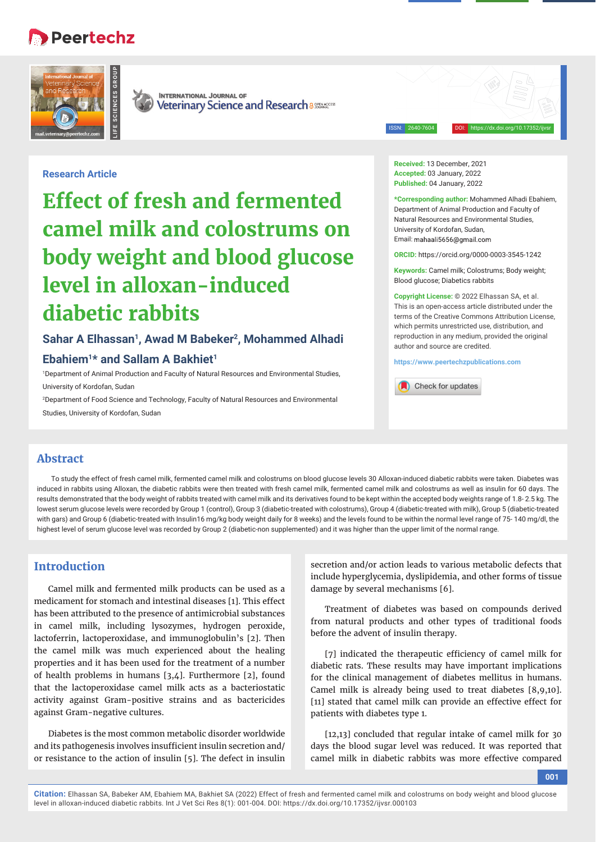# Peertechz





**INTERNATIONAL JOURNAL OF** Veterinary Science and Research a 886846055

ISSN: 2640-7604 DOI: https://dx.doi.org/10.17352/ijvsr

## **Research Article**

**Effect of fresh and fermented camel milk and colostrums on body weight and blood glucose level in alloxan-induced diabetic rabbits**

## Sahar A Elhassan<sup>1</sup>, Awad M Babeker<sup>2</sup>, Mohammed Alhadi

## **Ebahiem1\* and Sallam A Bakhiet1**

1 Department of Animal Production and Faculty of Natural Resources and Environmental Studies, University of Kordofan, Sudan

2 Department of Food Science and Technology, Faculty of Natural Resources and Environmental Studies, University of Kordofan, Sudan

**Received:** 13 December, 2021 **Accepted:** 03 January, 2022 **Published:** 04 January, 2022

**\*Corresponding author:** Mohammed Alhadi Ebahiem, Department of Animal Production and Faculty of Natural Resources and Environmental Studies, University of Kordofan, Sudan, Email: mahaali5656@gmail.com

**ORCID:** https://orcid.org/0000-0003-3545-1242

**Keywords:** Camel milk; Colostrums; Body weight; Blood glucose; Diabetics rabbits

**Copyright License:** © 2022 Elhassan SA, et al. This is an open-access article distributed under the terms of the Creative Commons Attribution License, which permits unrestricted use, distribution, and reproduction in any medium, provided the original author and source are credited.

**https://www.peertechzpublications.com**

Check for updates

## **Abstract**

To study the effect of fresh camel milk, fermented camel milk and colostrums on blood glucose levels 30 Alloxan-induced diabetic rabbits were taken. Diabetes was induced in rabbits using Alloxan, the diabetic rabbits were then treated with fresh camel milk, fermented camel milk and colostrums as well as insulin for 60 days. The results demonstrated that the body weight of rabbits treated with camel milk and its derivatives found to be kept within the accepted body weights range of 1.8-2.5 kg. The lowest serum glucose levels were recorded by Group 1 (control), Group 3 (diabetic-treated with colostrums), Group 4 (diabetic-treated with milk), Group 5 (diabetic-treated with gars) and Group 6 (diabetic-treated with Insulin16 mg/kg body weight daily for 8 weeks) and the levels found to be within the normal level range of 75- 140 mg/dl, the highest level of serum glucose level was recorded by Group 2 (diabetic-non supplemented) and it was higher than the upper limit of the normal range.

# **Introduction**

Camel milk and fermented milk products can be used as a medicament for stomach and intestinal diseases [1]. This effect has been attributed to the presence of antimicrobial substances in camel milk, including lysozymes, hydrogen peroxide, lactoferrin, lactoperoxidase, and immunoglobulin's [2]. Then the camel milk was much experienced about the healing properties and it has been used for the treatment of a number of health problems in humans [3,4]. Furthermore [2], found that the lactoperoxidase camel milk acts as a bacteriostatic activity against Gram-positive strains and as bactericides against Gram-negative cultures.

Diabetes is the most common metabolic disorder worldwide and its pathogenesis involves insufficient insulin secretion and/ or resistance to the action of insulin [5]. The defect in insulin

secretion and/or action leads to various metabolic defects that include hyperglycemia, dyslipidemia, and other forms of tissue damage by several mechanisms [6].

Treatment of diabetes was based on compounds derived from natural products and other types of traditional foods before the advent of insulin therapy.

[7] indicated the therapeutic efficiency of camel milk for diabetic rats. These results may have important implications for the clinical management of diabetes mellitus in humans. Camel milk is already being used to treat diabetes [8,9,10]. [11] stated that camel milk can provide an effective effect for patients with diabetes type 1.

[12,13] concluded that regular intake of camel milk for 30 days the blood sugar level was reduced. It was reported that camel milk in diabetic rabbits was more effective compared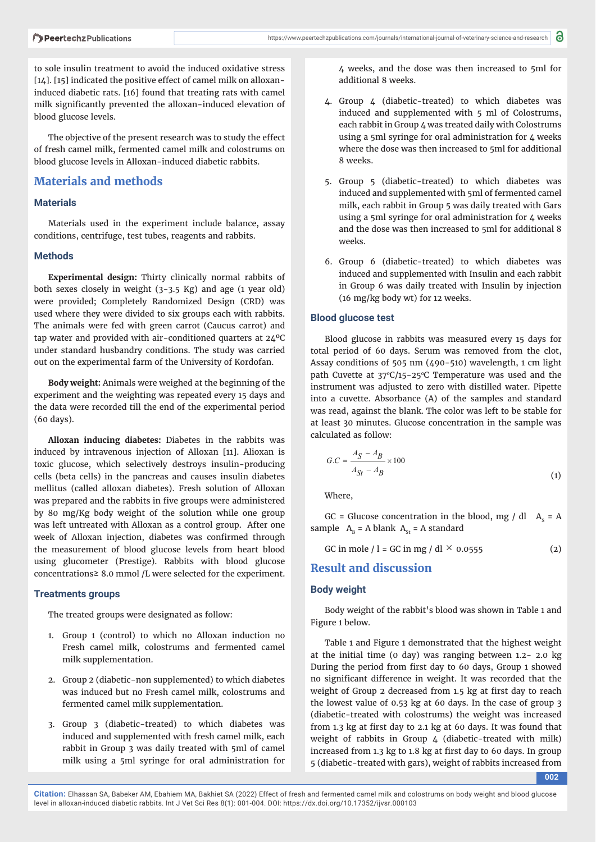to sole insulin treatment to avoid the induced oxidative stress [14]. [15] indicated the positive effect of camel milk on alloxaninduced diabetic rats. [16] found that treating rats with camel milk significantly prevented the alloxan-induced elevation of blood glucose levels.

The objective of the present research was to study the effect of fresh camel milk, fermented camel milk and colostrums on blood glucose levels in Alloxan-induced diabetic rabbits.

## **Materials and methods**

## **Materials**

Materials used in the experiment include balance, assay conditions, centrifuge, test tubes, reagents and rabbits.

#### **Methods**

**Experimental design:** Thirty clinically normal rabbits of both sexes closely in weight (3-3.5 Kg) and age (1 year old) were provided; Completely Randomized Design (CRD) was used where they were divided to six groups each with rabbits. The animals were fed with green carrot (Caucus carrot) and tap water and provided with air-conditioned quarters at 24ºC under standard husbandry conditions. The study was carried out on the experimental farm of the University of Kordofan.

**Body weight:** Animals were weighed at the beginning of the experiment and the weighting was repeated every 15 days and the data were recorded till the end of the experimental period (60 days).

**Alloxan inducing diabetes:** Diabetes in the rabbits was induced by intravenous injection of Alloxan [11]. Alioxan is toxic glucose, which selectively destroys insulin-producing cells (beta cells) in the pancreas and causes insulin diabetes mellitus (called alloxan diabetes). Fresh solution of Alloxan was prepared and the rabbits in five groups were administered by 80 mg/Kg body weight of the solution while one group was left untreated with Alloxan as a control group. After one week of Alloxan injection, diabetes was confirmed through the measurement of blood glucose levels from heart blood using glucometer (Prestige). Rabbits with blood glucose concentrations≥ 8.0 mmol /L were selected for the experiment.

#### **Treatments groups**

The treated groups were designated as follow:

- 1. Group 1 (control) to which no Alloxan induction no Fresh camel milk, colostrums and fermented camel milk supplementation.
- 2. Group 2 (diabetic-non supplemented) to which diabetes was induced but no Fresh camel milk, colostrums and fermented camel milk supplementation.
- 3. Group 3 (diabetic-treated) to which diabetes was induced and supplemented with fresh camel milk, each rabbit in Group 3 was daily treated with 5ml of camel milk using a 5ml syringe for oral administration for

4 weeks, and the dose was then increased to 5ml for additional 8 weeks.

- 4. Group 4 (diabetic-treated) to which diabetes was induced and supplemented with 5 ml of Colostrums, each rabbit in Group 4 was treated daily with Colostrums using a 5ml syringe for oral administration for 4 weeks where the dose was then increased to 5ml for additional 8 weeks.
- 5. Group 5 (diabetic-treated) to which diabetes was induced and supplemented with 5ml of fermented camel milk, each rabbit in Group 5 was daily treated with Gars using a 5ml syringe for oral administration for 4 weeks and the dose was then increased to 5ml for additional 8 weeks.
- 6. Group 6 (diabetic-treated) to which diabetes was induced and supplemented with Insulin and each rabbit in Group 6 was daily treated with Insulin by injection (16 mg/kg body wt) for 12 weeks.

#### **Blood glucose test**

Blood glucose in rabbits was measured every 15 days for total period of 60 days. Serum was removed from the clot, Assay conditions of 505 nm (490-510) wavelength, 1 cm light path Cuvette at  $37^{\circ}$ C/15-25 $^{\circ}$ C Temperature was used and the instrument was adjusted to zero with distilled water. Pipette into a cuvette. Absorbance (A) of the samples and standard was read, against the blank. The color was left to be stable for at least 30 minutes. Glucose concentration in the sample was calculated as follow:

$$
G.C = \frac{A_S - A_B}{A_{St} - A_B} \times 100
$$
\n<sup>(1)</sup>

Where,

GC = Glucose concentration in the blood, mg / dl  $A<sub>s</sub> = A$ sample  $A_B = A$  blank  $A_{St} = A$  standard

GC in mole  $/ l =$  GC in mg  $/$  dl  $\times$  0.0555 (2)

## **Result and discussion**

#### **Body weight**

Body weight of the rabbit's blood was shown in Table 1 and Figure 1 below.

Table 1 and Figure 1 demonstrated that the highest weight at the initial time (0 day) was ranging between 1.2- 2.0 kg During the period from first day to 60 days, Group 1 showed no significant difference in weight. It was recorded that the weight of Group 2 decreased from 1.5 kg at first day to reach the lowest value of 0.53 kg at 60 days. In the case of group 3 (diabetic-treated with colostrums) the weight was increased from 1.3 kg at first day to 2.1 kg at 60 days. It was found that weight of rabbits in Group 4 (diabetic-treated with milk) increased from 1.3 kg to 1.8 kg at first day to 60 days. In group 5 (diabetic-treated with gars), weight of rabbits increased from

**002**

**Citation:** Elhassan SA, Babeker AM, Ebahiem MA, Bakhiet SA (2022) Effect of fresh and fermented camel milk and colostrums on body weight and blood glucose level in alloxan-induced diabetic rabbits. Int J Vet Sci Res 8(1): 001-004. DOI: https://dx.doi.org/10.17352/ijvsr.000103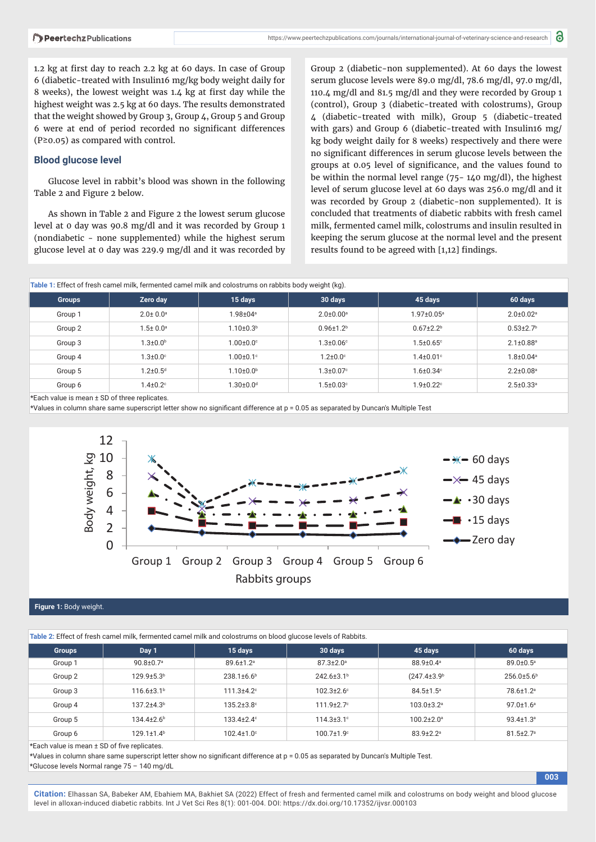1.2 kg at first day to reach 2.2 kg at 60 days. In case of Group 6 (diabetic-treated with Insulin16 mg/kg body weight daily for 8 weeks), the lowest weight was 1.4 kg at first day while the highest weight was 2.5 kg at 60 days. The results demonstrated that the weight showed by Group 3, Group 4, Group 5 and Group 6 were at end of period recorded no significant differences (P≥0.05) as compared with control.

### **Blood glucose level**

Glucose level in rabbit's blood was shown in the following Table 2 and Figure 2 below.

As shown in Table 2 and Figure 2 the lowest serum glucose level at 0 day was 90.8 mg/dl and it was recorded by Group 1 (nondiabetic - none supplemented) while the highest serum glucose level at 0 day was 229.9 mg/dl and it was recorded by Group 2 (diabetic-non supplemented). At 60 days the lowest serum glucose levels were 89.0 mg/dl, 78.6 mg/dl, 97.0 mg/dl, 110.4 mg/dl and 81.5 mg/dl and they were recorded by Group 1 (control), Group 3 (diabetic-treated with colostrums), Group 4 (diabetic-treated with milk), Group 5 (diabetic-treated with gars) and Group 6 (diabetic-treated with Insulin16 mg/ kg body weight daily for 8 weeks) respectively and there were no significant differences in serum glucose levels between the groups at 0.05 level of significance, and the values found to be within the normal level range (75- 140 mg/dl), the highest level of serum glucose level at 60 days was 256.0 mg/dl and it was recorded by Group 2 (diabetic-non supplemented). It is concluded that treatments of diabetic rabbits with fresh camel milk, fermented camel milk, colostrums and insulin resulted in keeping the serum glucose at the normal level and the present results found to be agreed with  $[1,12]$  findings.

**003**

| Table 1: Effect of fresh camel milk, fermented camel milk and colostrums on rabbits body weight (kg). |                            |                             |                             |                             |                             |  |  |  |
|-------------------------------------------------------------------------------------------------------|----------------------------|-----------------------------|-----------------------------|-----------------------------|-----------------------------|--|--|--|
| <b>Groups</b>                                                                                         | Zero day                   | 15 days                     | 30 days                     | 45 days                     | 60 days                     |  |  |  |
| Group 1                                                                                               | $2.0 \pm 0.0$ <sup>a</sup> | $1.98 \pm 04$ <sup>a</sup>  | $2.0 \pm 0.00$ <sup>a</sup> | $1.97 \pm 0.05^{\circ}$     | $2.0 \pm 0.02$ <sup>a</sup> |  |  |  |
| Group 2                                                                                               | $1.5 \pm 0.0$ <sup>a</sup> | $1.10 + 0.3b$               | $0.96 \pm 1.2$              | $0.67 + 2.2b$               | $0.53 \pm 2.7$ <sup>b</sup> |  |  |  |
| Group 3                                                                                               | $1.3 \pm 0.0^{\circ}$      | $1.00 \pm 0.0$ <sup>c</sup> | $1.3 \pm 0.06$ °            | $1.5 \pm 0.65$ <sup>c</sup> | $2.1 \pm 0.88$ <sup>a</sup> |  |  |  |
| Group 4                                                                                               | $1.3 \pm 0.0$ °            | $1.00 + 0.1$ <sup>c</sup>   | $1.2 \pm 0.0$ °             | $1.4 \pm 0.01$ °            | $1.8 \pm 0.04$ <sup>a</sup> |  |  |  |
| Group 5                                                                                               | $1.2 \pm 0.5$ <sup>d</sup> | $1.10{\pm}0.0^{\rm b}$      | $1.3 \pm 0.07$ °            | $1.6 \pm 0.34$ <sup>c</sup> | $2.2 \pm 0.08$ <sup>a</sup> |  |  |  |
| Group 6                                                                                               | $1.4 \pm 0.2$ <sup>c</sup> | $1.30 \pm 0.0$ <sup>d</sup> | $.5 \pm 0.03$ °             | $1.9 + 0.22$                | $2.5 \pm 0.33$ <sup>a</sup> |  |  |  |

\*Each value is mean ± SD of three replicates.

\*Values in column share same superscript letter show no significant difference at p = 0.05 as separated by Duncan's Multiple Test



#### **Figure 1:** Body weight.

**Table 2:** Effect of fresh camel milk, fermented camel milk and colostrums on blood glucose levels of Rabbits.

| Table 2. Effect of Hesif Caffler HillK, femielited Caffler HillK and Colostiums on blood giucose levels of Rabbits. |                              |                             |                        |                               |                             |  |  |  |
|---------------------------------------------------------------------------------------------------------------------|------------------------------|-----------------------------|------------------------|-------------------------------|-----------------------------|--|--|--|
| <b>Groups</b>                                                                                                       | Day 1                        | 15 days                     | 30 days                | 45 days                       | 60 days                     |  |  |  |
| Group 1                                                                                                             | $90.8 \pm 0.7$ <sup>a</sup>  | $89.6 \pm 1.2$ <sup>a</sup> | $87.3 \pm 2.0^{\circ}$ | 88.9±0.4 <sup>a</sup>         | 89.0±0.5 <sup>a</sup>       |  |  |  |
| Group 2                                                                                                             | 129.9±5.3 <sup>b</sup>       | $238.1\pm6.6^b$             | 242.6±3.1 <sup>b</sup> | $(247.4 \pm 3.9$ <sup>b</sup> | $256.0\pm5.6b$              |  |  |  |
| Group 3                                                                                                             | $116.6 \pm 3.1$ <sup>b</sup> | $111.3 \pm 4.2$ °           | $102.3 \pm 2.6$ °      | $84.5 \pm 1.5^{\circ}$        | 78.6±1.2ª                   |  |  |  |
| Group 4                                                                                                             | $137.2 + 4.3b$               | $135.2 \pm 3.8$ °           | $111.9 \pm 2.7$ °      | $103.0 \pm 3.2$ <sup>a</sup>  | $97.0 \pm 1.6^{\circ}$      |  |  |  |
| Group 5                                                                                                             | $134.4 + 2.6$ <sup>b</sup>   | $133.4 + 2.4$ <sup>c</sup>  | $114.3 \pm 3.1$ °      | $100.2 \pm 2.0$ <sup>a</sup>  | $93.4 \pm 1.3^{\circ}$      |  |  |  |
| Group 6                                                                                                             | $129.1 \pm 1.4^b$            | $102.4 \pm 1.0^{\circ}$     | $100.7 \pm 1.9$ °      | $83.9 \pm 2.2$ <sup>a</sup>   | $81.5 \pm 2.7$ <sup>a</sup> |  |  |  |

\*Each value is mean ± SD of five replicates.

\*Values in column share same superscript letter show no significant difference at p = 0.05 as separated by Duncan's Multiple Test. \*Glucose levels Normal range 75 – 140 mg/dL

**Citation:** Elhassan SA, Babeker AM, Ebahiem MA, Bakhiet SA (2022) Effect of fresh and fermented camel milk and colostrums on body weight and blood glucose level in alloxan-induced diabetic rabbits. Int J Vet Sci Res 8(1): 001-004. DOI: https://dx.doi.org/10.17352/ijvsr.000103